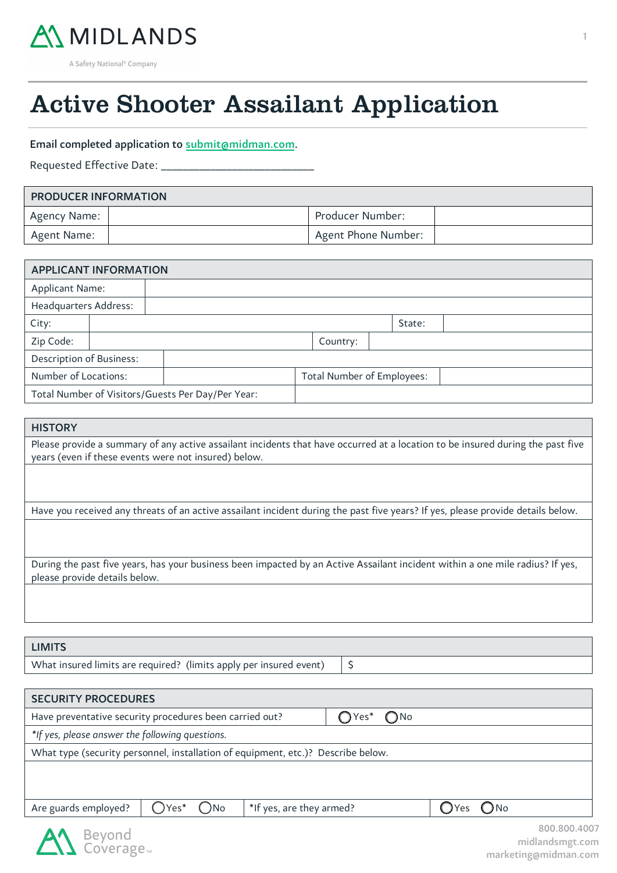

 $\overline{a}$ 

Active Shooter Assailant Application

### Email completed application to [submit@midman.com.](mailto:submit@midman.com)

Requested Effective Date: \_

| <b>PRODUCER INFORMATION</b> |  |                     |  |  |  |  |
|-----------------------------|--|---------------------|--|--|--|--|
| Agency Name:                |  | Producer Number:    |  |  |  |  |
| Agent Name:                 |  | Agent Phone Number: |  |  |  |  |

| <b>APPLICANT INFORMATION</b>                      |  |                                   |  |  |  |          |  |        |  |
|---------------------------------------------------|--|-----------------------------------|--|--|--|----------|--|--------|--|
| <b>Applicant Name:</b>                            |  |                                   |  |  |  |          |  |        |  |
| Headquarters Address:                             |  |                                   |  |  |  |          |  |        |  |
| City:                                             |  |                                   |  |  |  |          |  | State: |  |
| Zip Code:                                         |  |                                   |  |  |  | Country: |  |        |  |
| <b>Description of Business:</b>                   |  |                                   |  |  |  |          |  |        |  |
| Number of Locations:                              |  | <b>Total Number of Employees:</b> |  |  |  |          |  |        |  |
| Total Number of Visitors/Guests Per Day/Per Year: |  |                                   |  |  |  |          |  |        |  |

# **HISTORY**

55

Please provide a summary of any active assailant incidents that have occurred at a location to be insured during the past five years (even if these events were not insured) below.

Have you received any threats of an active assailant incident during the past five years? If yes, please provide details below.

During the past five years, has your business been impacted by an Active Assailant incident within a one mile radius? If yes, please provide details below.

### LIMITS

What insured limits are required? (limits apply per insured event)  $\frac{1}{5}$ 

| <b>SECURITY PROCEDURES</b>                                                       |                  |                          |  |  |      |        |                                                         |
|----------------------------------------------------------------------------------|------------------|--------------------------|--|--|------|--------|---------------------------------------------------------|
| $OYes^*$ $ONo$<br>Have preventative security procedures been carried out?        |                  |                          |  |  |      |        |                                                         |
| *If yes, please answer the following questions.                                  |                  |                          |  |  |      |        |                                                         |
| What type (security personnel, installation of equipment, etc.)? Describe below. |                  |                          |  |  |      |        |                                                         |
|                                                                                  |                  |                          |  |  |      |        |                                                         |
|                                                                                  |                  |                          |  |  |      |        |                                                         |
| Are guards employed?                                                             | $OYes^*$<br>()No | *If yes, are they armed? |  |  | OYes | $O$ No |                                                         |
| Beyond<br>Coverage <sub>™</sub>                                                  |                  |                          |  |  |      |        | 800.800.4007<br>midlandsmgt.com<br>markatingamidman cam |